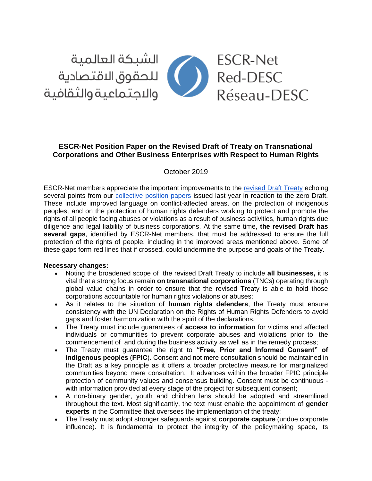

# **ESCR-Net Position Paper on the Revised Draft of Treaty on Transnational Corporations and Other Business Enterprises with Respect to Human Rights**

October 2019

ESCR-Net members appreciate the important improvements to the [revised Draft Treaty](https://www.ohchr.org/Documents/HRBodies/HRCouncil/WGTransCorp/OEIGWG_RevisedDraft_LBI.pdf) echoing several points from our [collective position papers](https://www.escr-net.org/sites/default/files/advocacy_position_papers_igwg2018.pdf) issued last year in reaction to the zero Draft. These include improved language on conflict-affected areas, on the protection of indigenous peoples, and on the protection of human rights defenders working to protect and promote the rights of all people facing abuses or violations as a result of business activities, human rights due diligence and legal liability of business corporations. At the same time, **the revised Draft has several gaps**, identified by ESCR-Net members, that must be addressed to ensure the full protection of the rights of people, including in the improved areas mentioned above. Some of these gaps form red lines that if crossed, could undermine the purpose and goals of the Treaty.

#### **Necessary changes:**

- Noting the broadened scope of the revised Draft Treaty to include **all businesses,** it is vital that a strong focus remain **on transnational corporations** (TNCs) operating through global value chains in order to ensure that the revised Treaty is able to hold those corporations accountable for human rights violations or abuses;
- As it relates to the situation of **human rights defenders**, the Treaty must ensure consistency with the UN Declaration on the Rights of Human Rights Defenders to avoid gaps and foster harmonization with the spirit of the declarations.
- The Treaty must include guarantees of **access to information** for victims and affected individuals or communities to prevent corporate abuses and violations prior to the commencement of and during the business activity as well as in the remedy process;
- The Treaty must guarantee the right to **"Free, Prior and Informed Consent" of indigenous peoples** (**FPIC**)**.** Consent and not mere consultation should be maintained in the Draft as a key principle as it offers a broader protective measure for marginalized communities beyond mere consultation. It advances within the broader FPIC principle protection of community values and consensus building. Consent must be continuous with information provided at every stage of the project for subsequent consent;
- A non-binary gender, youth and children lens should be adopted and streamlined throughout the text. Most significantly, the text must enable the appointment of **gender experts** in the Committee that oversees the implementation of the treaty;
- The Treaty must adopt stronger safeguards against **corporate capture** (undue corporate influence). It is fundamental to protect the integrity of the policymaking space, its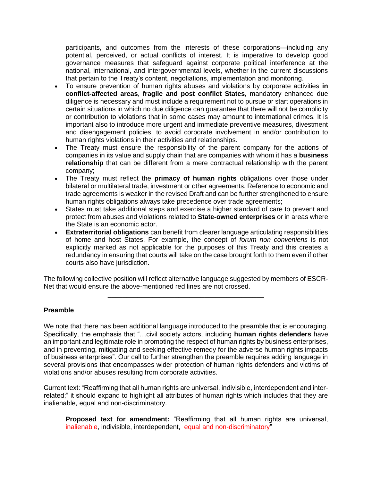participants, and outcomes from the interests of these corporations—including any potential, perceived, or actual conflicts of interest. It is imperative to develop good governance measures that safeguard against corporate political interference at the national, international, and intergovernmental levels, whether in the current discussions that pertain to the Treaty's content, negotiations, implementation and monitoring.

- To ensure prevention of human rights abuses and violations by corporate activities **in conflict-affected areas**, **fragile and post conflict States,** mandatory enhanced due diligence is necessary and must include a requirement not to pursue or start operations in certain situations in which no due diligence can guarantee that there will not be complicity or contribution to violations that in some cases may amount to international crimes. It is important also to introduce more urgent and immediate preventive measures, divestment and disengagement policies, to avoid corporate involvement in and/or contribution to human rights violations in their activities and relationships.
- The Treaty must ensure the responsibility of the parent company for the actions of companies in its value and supply chain that are companies with whom it has a **business relationship** that can be different from a mere contractual relationship with the parent company;
- The Treaty must reflect the **primacy of human rights** obligations over those under bilateral or multilateral trade, investment or other agreements. Reference to economic and trade agreements is weaker in the revised Draft and can be further strengthened to ensure human rights obligations always take precedence over trade agreements;
- States must take additional steps and exercise a higher standard of care to prevent and protect from abuses and violations related to **State-owned enterprises** or in areas where the State is an economic actor.
- **Extraterritorial obligations** can benefit from clearer language articulating responsibilities of home and host States. For example, the concept of *forum non conveniens* is not explicitly marked as not applicable for the purposes of this Treaty and this creates a redundancy in ensuring that courts will take on the case brought forth to them even if other courts also have jurisdiction.

The following collective position will reflect alternative language suggested by members of ESCR-Net that would ensure the above-mentioned red lines are not crossed. \_\_\_\_\_\_\_\_\_\_\_\_\_\_\_\_\_\_\_\_\_\_\_\_\_\_\_\_\_\_\_\_\_\_\_\_\_\_\_\_\_\_

# **Preamble**

We note that there has been additional language introduced to the preamble that is encouraging. Specifically, the emphasis that "…civil society actors, including **human rights defenders** have an important and legitimate role in promoting the respect of human rights by business enterprises, and in preventing, mitigating and seeking effective remedy for the adverse human rights impacts of business enterprises". Our call to further strengthen the preamble requires adding language in several provisions that encompasses wider protection of human rights defenders and victims of violations and/or abuses resulting from corporate activities.

Current text: "Reaffirming that all human rights are universal, indivisible, interdependent and interrelated;" it should expand to highlight all attributes of human rights which includes that they are inalienable, equal and non-discriminatory.

**Proposed text for amendment:** "Reaffirming that all human rights are universal, inalienable, indivisible, interdependent, equal and non-discriminatory"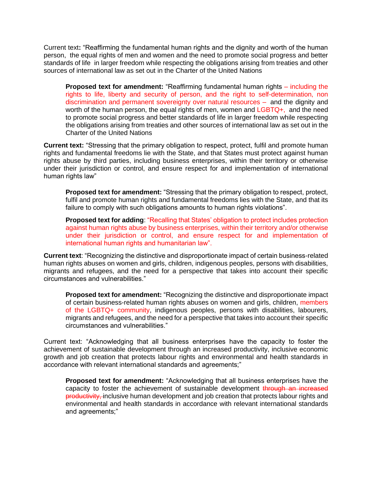Current text**:** "Reaffirming the fundamental human rights and the dignity and worth of the human person, the equal rights of men and women and the need to promote social progress and better standards of life in larger freedom while respecting the obligations arising from treaties and other sources of international law as set out in the Charter of the United Nations

**Proposed text for amendment:** "Reaffirming fundamental human rights – including the rights to life, liberty and security of person, and the right to self-determination, non discrimination and permanent sovereignty over natural resources – and the dignity and worth of the human person, the equal rights of men, women and LGBTQ+, and the need to promote social progress and better standards of life in larger freedom while respecting the obligations arising from treaties and other sources of international law as set out in the Charter of the United Nations

**Current text:** "Stressing that the primary obligation to respect, protect, fulfil and promote human rights and fundamental freedoms lie with the State, and that States must protect against human rights abuse by third parties, including business enterprises, within their territory or otherwise under their jurisdiction or control, and ensure respect for and implementation of international human rights law"

**Proposed text for amendment:** "Stressing that the primary obligation to respect, protect, fulfil and promote human rights and fundamental freedoms lies with the State, and that its failure to comply with such obligations amounts to human rights violations".

**Proposed text for adding: "Recalling that States' obligation to protect includes protection** against human rights abuse by business enterprises, within their territory and/or otherwise under their jurisdiction or control, and ensure respect for and implementation of international human rights and humanitarian law".

**Current text**: "Recognizing the distinctive and disproportionate impact of certain business-related human rights abuses on women and girls, children, indigenous peoples, persons with disabilities, migrants and refugees, and the need for a perspective that takes into account their specific circumstances and vulnerabilities."

**Proposed text for amendment:** "Recognizing the distinctive and disproportionate impact of certain business-related human rights abuses on women and girls, children, members of the LGBTQ+ community, indigenous peoples, persons with disabilities, labourers, migrants and refugees, and the need for a perspective that takes into account their specific circumstances and vulnerabilities."

Current text: "Acknowledging that all business enterprises have the capacity to foster the achievement of sustainable development through an increased productivity, inclusive economic growth and job creation that protects labour rights and environmental and health standards in accordance with relevant international standards and agreements;"

**Proposed text for amendment:** "Acknowledging that all business enterprises have the capacity to foster the achievement of sustainable development through an increased productivity, inclusive human development and job creation that protects labour rights and environmental and health standards in accordance with relevant international standards and agreements;"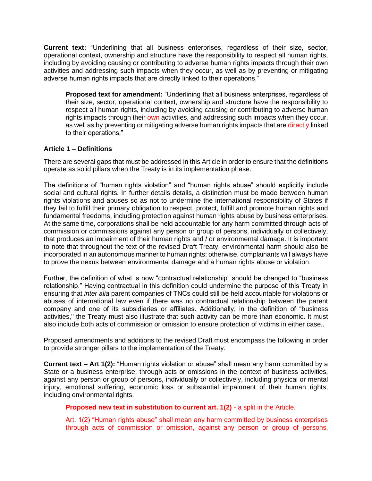**Current text:** "Underlining that all business enterprises, regardless of their size, sector, operational context, ownership and structure have the responsibility to respect all human rights, including by avoiding causing or contributing to adverse human rights impacts through their own activities and addressing such impacts when they occur, as well as by preventing or mitigating adverse human rights impacts that are directly linked to their operations,"

**Proposed text for amendment:** "Underlining that all business enterprises, regardless of their size, sector, operational context, ownership and structure have the responsibility to respect all human rights, including by avoiding causing or contributing to adverse human rights impacts through their own activities, and addressing such impacts when they occur, as well as by preventing or mitigating adverse human rights impacts that are directly linked to their operations,"

# **Article 1 – Definitions**

There are several gaps that must be addressed in this Article in order to ensure that the definitions operate as solid pillars when the Treaty is in its implementation phase.

The definitions of "human rights violation" and "human rights abuse" should explicitly include social and cultural rights. In further details details, a distinction must be made between human rights violations and abuses so as not to undermine the international responsibility of States if they fail to fulfill their primary obligation to respect, protect, fulfill and promote human rights and fundamental freedoms, including protection against human rights abuse by business enterprises. At the same time, corporations shall be held accountable for any harm committed through acts of commission or commissions against any person or group of persons, individually or collectively, that produces an impairment of their human rights and / or environmental damage. It is important to note that throughout the text of the revised Draft Treaty, environmental harm should also be incorporated in an autonomous manner to human rights; otherwise, complainants will always have to prove the nexus between environmental damage and a human rights abuse or violation.

Further, the definition of what is now "contractual relationship" should be changed to "business relationship." Having contractual in this definition could undermine the purpose of this Treaty in ensuring that *inter alia* parent companies of TNCs could still be held accountable for violations or abuses of international law even if there was no contractual relationship between the parent company and one of its subsidiaries or affiliates. Additionally, in the definition of "business activities,'' the Treaty must also illustrate that such activity can be more than economic. It must also include both acts of commission or omission to ensure protection of victims in either case..

Proposed amendments and additions to the revised Draft must encompass the following in order to provide stronger pillars to the implementation of the Treaty.

**Current text – Art 1(2):** "Human rights violation or abuse" shall mean any harm committed by a State or a business enterprise, through acts or omissions in the context of business activities, against any person or group of persons, individually or collectively, including physical or mental injury, emotional suffering, economic loss or substantial impairment of their human rights, including environmental rights.

**Proposed new text in substitution to current art. 1(2)** - a split in the Article.

Art. 1(2) "Human rights abuse" shall mean any harm committed by business enterprises through acts of commission or omission, against any person or group of persons,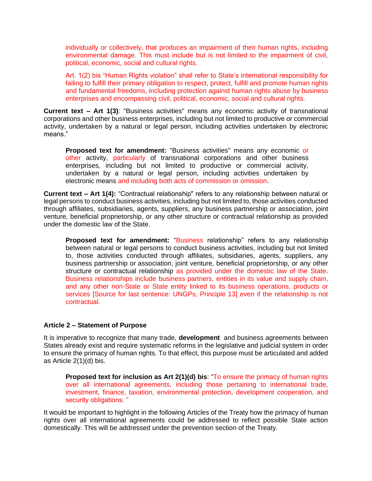individually or collectively, that produces an impairment of their human rights, including environmental damage. This must include but is not limited to the impairment of civil, political, economic, social and cultural rights.

Art. 1(2) bis "Human Rights violation" shall refer to State's international responsibility for failing to fulfill their primary obligation to respect, protect, fulfill and promote human rights and fundamental freedoms, including protection against human rights abuse by business enterprises and encompassing civil, political, economic, social and cultural rights.

**Current text – Art 1(3)**: "Business activities" means any economic activity of transnational corporations and other business enterprises, including but not limited to productive or commercial activity, undertaken by a natural or legal person, including activities undertaken by electronic means."

**Proposed text for amendment:** "Business activities" means any economic or other activity, particularly of transnational corporations and other business enterprises, including but not limited to productive or commercial activity, undertaken by a natural or legal person, including activities undertaken by electronic means and including both acts of commission or omission.

**Current text – Art 1(4):** "Contractual relationship" refers to any relationship between natural or legal persons to conduct business activities, including but not limited to, those activities conducted through affiliates, subsidiaries, agents, suppliers, any business partnership or association, joint venture, beneficial proprietorship, or any other structure or contractual relationship as provided under the domestic law of the State.

**Proposed text for amendment:** "Business relationship" refers to any relationship between natural or legal persons to conduct business activities, including but not limited to, those activities conducted through affiliates, subsidiaries, agents, suppliers, any business partnership or association, joint venture, beneficial proprietorship, or any other structure or contractual relationship as provided under the domestic law of the State. Business relationships include business partners, entities in its value and supply chain, and any other non-State or State entity linked to its business operations, products or services [Source for last sentence: UNGPs, Principle 13] even if the relationship is not contractual.

# **Article 2 – Statement of Purpose**

It is imperative to recognize that many trade, **development** and business agreements between States already exist and require systematic reforms in the legislative and judicial system in order to ensure the primacy of human rights. To that effect, this purpose must be articulated and added as Article 2(1)(d) bis.

**Proposed text for inclusion as Art 2(1)(d) bis**: "To ensure the primacy of human rights over all international agreements, including those pertaining to international trade, investment, finance, taxation, environmental protection, development cooperation, and security obligations. "

It would be important to highlight in the following Articles of the Treaty how the primacy of human rights over all international agreements could be addressed to reflect possible State action domestically. This will be addressed under the prevention section of the Treaty.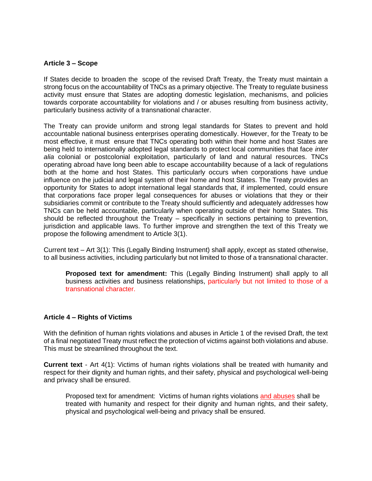#### **Article 3 – Scope**

If States decide to broaden the scope of the revised Draft Treaty, the Treaty must maintain a strong focus on the accountability of TNCs as a primary objective. The Treaty to regulate business activity must ensure that States are adopting domestic legislation, mechanisms, and policies towards corporate accountability for violations and / or abuses resulting from business activity, particularly business activity of a transnational character.

The Treaty can provide uniform and strong legal standards for States to prevent and hold accountable national business enterprises operating domestically. However, for the Treaty to be most effective, it must ensure that TNCs operating both within their home and host States are being held to internationally adopted legal standards to protect local communities that face *inter alia* colonial or postcolonial exploitation, particularly of land and natural resources. TNCs operating abroad have long been able to escape accountability because of a lack of regulations both at the home and host States. This particularly occurs when corporations have undue influence on the judicial and legal system of their home and host States. The Treaty provides an opportunity for States to adopt international legal standards that, if implemented, could ensure that corporations face proper legal consequences for abuses or violations that they or their subsidiaries commit or contribute to the Treaty should sufficiently and adequately addresses how TNCs can be held accountable, particularly when operating outside of their home States. This should be reflected throughout the Treaty – specifically in sections pertaining to prevention, jurisdiction and applicable laws. To further improve and strengthen the text of this Treaty we propose the following amendment to Article 3(1).

Current text – Art 3(1): This (Legally Binding Instrument) shall apply, except as stated otherwise, to all business activities, including particularly but not limited to those of a transnational character.

**Proposed text for amendment:** This (Legally Binding Instrument) shall apply to all business activities and business relationships, particularly but not limited to those of a transnational character.

#### **Article 4 – Rights of Victims**

With the definition of human rights violations and abuses in Article 1 of the revised Draft, the text of a final negotiated Treaty must reflect the protection of victims against both violations and abuse. This must be streamlined throughout the text.

**Current text** - Art 4(1): Victims of human rights violations shall be treated with humanity and respect for their dignity and human rights, and their safety, physical and psychological well-being and privacy shall be ensured.

Proposed text for amendment: Victims of human rights violations and abuses shall be treated with humanity and respect for their dignity and human rights, and their safety, physical and psychological well-being and privacy shall be ensured.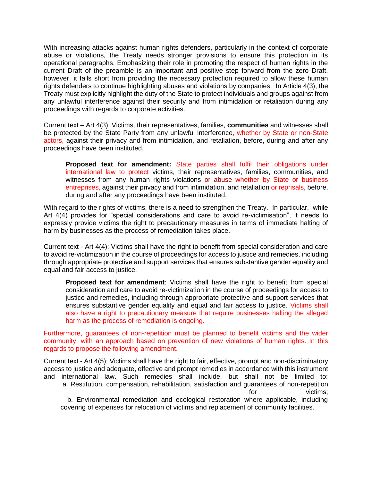With increasing attacks against human rights defenders, particularly in the context of corporate abuse or violations, the Treaty needs stronger provisions to ensure this protection in its operational paragraphs. Emphasizing their role in promoting the respect of human rights in the current Draft of the preamble is an important and positive step forward from the zero Draft, however, it falls short from providing the necessary protection required to allow these human rights defenders to continue highlighting abuses and violations by companies. In Article 4(3), the Treaty must explicitly highlight the duty of the State to protect individuals and groups against from any unlawful interference against their security and from intimidation or retaliation during any proceedings with regards to corporate activities.

Current text – Art 4(3): Victims, their representatives, families, **communities** and witnesses shall be protected by the State Party from any unlawful interference, whether by State or non-State actors, against their privacy and from intimidation, and retaliation, before, during and after any proceedings have been instituted.

**Proposed text for amendment:** State parties shall fulfil their obligations under international law to protect victims, their representatives, families, communities, and witnesses from any human rights violations or abuse whether by State or business entreprises, against their privacy and from intimidation, and retaliation or reprisals, before, during and after any proceedings have been instituted.

With regard to the rights of victims, there is a need to strengthen the Treaty. In particular, while Art 4(4) provides for "special considerations and care to avoid re-victimisation", it needs to expressly provide victims the right to precautionary measures in terms of immediate halting of harm by businesses as the process of remediation takes place.

Current text - Art 4(4): Victims shall have the right to benefit from special consideration and care to avoid re-victimization in the course of proceedings for access to justice and remedies, including through appropriate protective and support services that ensures substantive gender equality and equal and fair access to justice.

**Proposed text for amendment**: Victims shall have the right to benefit from special consideration and care to avoid re-victimization in the course of proceedings for access to justice and remedies, including through appropriate protective and support services that ensures substantive gender equality and equal and fair access to justice. Victims shall also have a right to precautionary measure that require businesses halting the alleged harm as the process of remediation is ongoing.

Furthermore, guarantees of non-repetition must be planned to benefit victims and the wider community, with an approach based on prevention of new violations of human rights. In this regards to propose the following amendment.

Current text - Art 4(5): Victims shall have the right to fair, effective, prompt and non-discriminatory access to justice and adequate, effective and prompt remedies in accordance with this instrument and international law. Such remedies shall include, but shall not be limited to: a. Restitution, compensation, rehabilitation, satisfaction and guarantees of non-repetition for victims; b. Environmental remediation and ecological restoration where applicable, including covering of expenses for relocation of victims and replacement of community facilities.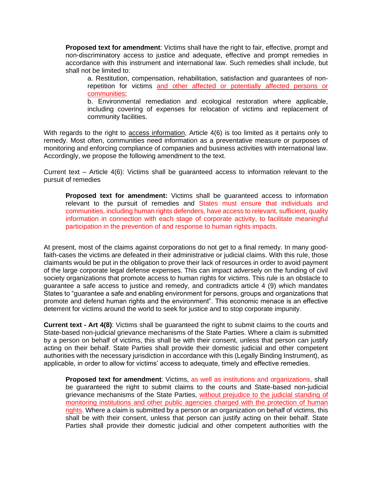**Proposed text for amendment**: Victims shall have the right to fair, effective, prompt and non-discriminatory access to justice and adequate, effective and prompt remedies in accordance with this instrument and international law. Such remedies shall include, but shall not be limited to:

a. Restitution, compensation, rehabilitation, satisfaction and guarantees of nonrepetition for victims and other affected or potentially affected persons or communities;

b. Environmental remediation and ecological restoration where applicable, including covering of expenses for relocation of victims and replacement of community facilities.

With regards to the right to access information, Article 4(6) is too limited as it pertains only to remedy. Most often, communities need information as a preventative measure or purposes of monitoring and enforcing compliance of companies and business activities with international law. Accordingly, we propose the following amendment to the text.

Current text – Article 4(6): Victims shall be guaranteed access to information relevant to the pursuit of remedies

**Proposed text for amendment:** Victims shall be guaranteed access to information relevant to the pursuit of remedies and States must ensure that individuals and communities, including human rights defenders, have access to relevant, sufficient, quality information in connection with each stage of corporate activity, to facilitate meaningful participation in the prevention of and response to human rights impacts.

At present, most of the claims against corporations do not get to a final remedy. In many goodfaith-cases the victims are defeated in their administrative or judicial claims. With this rule, those claimants would be put in the obligation to prove their lack of resources in order to avoid payment of the large corporate legal defense expenses. This can impact adversely on the funding of civil society organizations that promote access to human rights for victims. This rule is an obstacle to guarantee a safe access to justice and remedy, and contradicts article 4 (9) which mandates States to "guarantee a safe and enabling environment for persons, groups and organizations that promote and defend human rights and the environment". This economic menace is an effective deterrent for victims around the world to seek for justice and to stop corporate impunity.

**Current text - Art 4(8)**: Victims shall be guaranteed the right to submit claims to the courts and State-based non-judicial grievance mechanisms of the State Parties. Where a claim is submitted by a person on behalf of victims, this shall be with their consent, unless that person can justify acting on their behalf. State Parties shall provide their domestic judicial and other competent authorities with the necessary jurisdiction in accordance with this (Legally Binding Instrument), as applicable, in order to allow for victims' access to adequate, timely and effective remedies.

**Proposed text for amendment**: Victims, as well as institutions and organizations, shall be guaranteed the right to submit claims to the courts and State-based non-judicial grievance mechanisms of the State Parties, without prejudice to the judicial standing of monitoring institutions and other public agencies charged with the protection of human rights. Where a claim is submitted by a person or an organization on behalf of victims, this shall be with their consent, unless that person can justify acting on their behalf. State Parties shall provide their domestic judicial and other competent authorities with the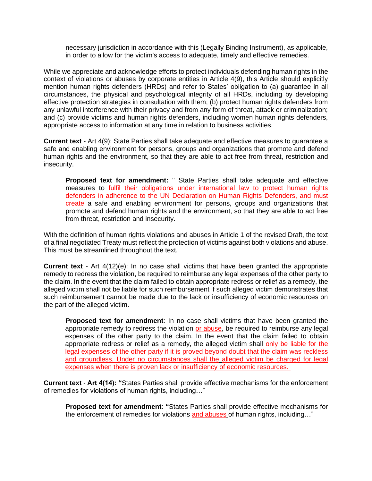necessary jurisdiction in accordance with this (Legally Binding Instrument), as applicable, in order to allow for the victim's access to adequate, timely and effective remedies.

While we appreciate and acknowledge efforts to protect individuals defending human rights in the context of violations or abuses by corporate entities in Article 4(9), this Article should explicitly mention human rights defenders (HRDs) and refer to States' obligation to (a) guarantee in all circumstances, the physical and psychological integrity of all HRDs, including by developing effective protection strategies in consultation with them; (b) protect human rights defenders from any unlawful interference with their privacy and from any form of threat, attack or criminalization; and (c) provide victims and human rights defenders, including women human rights defenders, appropriate access to information at any time in relation to business activities.

**Current text** - Art 4(9): State Parties shall take adequate and effective measures to guarantee a safe and enabling environment for persons, groups and organizations that promote and defend human rights and the environment, so that they are able to act free from threat, restriction and insecurity.

**Proposed text for amendment:** " State Parties shall take adequate and effective measures to fulfil their obligations under international law to protect human rights defenders in adherence to the UN Declaration on Human Rights Defenders, and must create a safe and enabling environment for persons, groups and organizations that promote and defend human rights and the environment, so that they are able to act free from threat, restriction and insecurity.

With the definition of human rights violations and abuses in Article 1 of the revised Draft, the text of a final negotiated Treaty must reflect the protection of victims against both violations and abuse. This must be streamlined throughout the text.

**Current text** - Art 4(12)(e): In no case shall victims that have been granted the appropriate remedy to redress the violation, be required to reimburse any legal expenses of the other party to the claim. In the event that the claim failed to obtain appropriate redress or relief as a remedy, the alleged victim shall not be liable for such reimbursement if such alleged victim demonstrates that such reimbursement cannot be made due to the lack or insufficiency of economic resources on the part of the alleged victim.

**Proposed text for amendment**: In no case shall victims that have been granted the appropriate remedy to redress the violation or abuse, be required to reimburse any legal expenses of the other party to the claim. In the event that the claim failed to obtain appropriate redress or relief as a remedy, the alleged victim shall only be liable for the legal expenses of the other party if it is proved beyond doubt that the claim was reckless and groundless. Under no circumstances shall the alleged victim be charged for legal expenses when there is proven lack or insufficiency of economic resources.

**Current text** - **Art 4(14): "**States Parties shall provide effective mechanisms for the enforcement of remedies for violations of human rights, including…"

**Proposed text for amendment**: **"**States Parties shall provide effective mechanisms for the enforcement of remedies for violations and abuses of human rights, including…"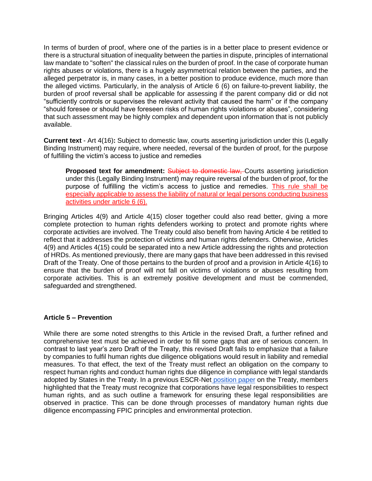In terms of burden of proof, where one of the parties is in a better place to present evidence or there is a structural situation of inequality between the parties in dispute, principles of international law mandate to "soften" the classical rules on the burden of proof. In the case of corporate human rights abuses or violations, there is a hugely asymmetrical relation between the parties, and the alleged perpetrator is, in many cases, in a better position to produce evidence, much more than the alleged victims. Particularly, in the analysis of Article 6 (6) on failure-to-prevent liability, the burden of proof reversal shall be applicable for assessing if the parent company did or did not "sufficiently controls or supervises the relevant activity that caused the harm" or if the company "should foresee or should have foreseen risks of human rights violations or abuses", considering that such assessment may be highly complex and dependent upon information that is not publicly available.

**Current text** - Art 4(16)**:** Subject to domestic law, courts asserting jurisdiction under this (Legally Binding Instrument) may require, where needed, reversal of the burden of proof, for the purpose of fulfilling the victim's access to justice and remedies

**Proposed text for amendment:** Subject to domestic law, Courts asserting jurisdiction under this (Legally Binding Instrument) may require reversal of the burden of proof, for the purpose of fulfilling the victim's access to justice and remedies. This rule shall be especially applicable to assess the liability of natural or legal persons conducting business activities under article 6 (6).

Bringing Articles 4(9) and Article 4(15) closer together could also read better, giving a more complete protection to human rights defenders working to protect and promote rights where corporate activities are involved. The Treaty could also benefit from having Article 4 be retitled to reflect that it addresses the protection of victims and human rights defenders. Otherwise, Articles 4(9) and Articles 4(15) could be separated into a new Article addressing the rights and protection of HRDs. As mentioned previously, there are many gaps that have been addressed in this revised Draft of the Treaty. One of those pertains to the burden of proof and a provision in Article 4(16) to ensure that the burden of proof will not fall on victims of violations or abuses resulting from corporate activities. This is an extremely positive development and must be commended, safeguarded and strengthened.

# **Article 5 – Prevention**

While there are some noted strengths to this Article in the revised Draft, a further refined and comprehensive text must be achieved in order to fill some gaps that are of serious concern. In contrast to last year's zero Draft of the Treaty, this revised Draft fails to emphasize that a failure by companies to fulfil human rights due diligence obligations would result in liability and remedial measures. To that effect, the text of the Treaty must reflect an obligation on the company to respect human rights and conduct human rights due diligence in compliance with legal standards adopted by States in the Treaty. In a previous ESCR-Net [position paper](https://www.escr-net.org/sites/default/files/attachments/tenkeyproposals_final.pdf) on the Treaty, members highlighted that the Treaty must recognize that corporations have legal responsibilities to respect human rights, and as such outline a framework for ensuring these legal responsibilities are observed in practice. This can be done through processes of mandatory human rights due diligence encompassing FPIC principles and environmental protection.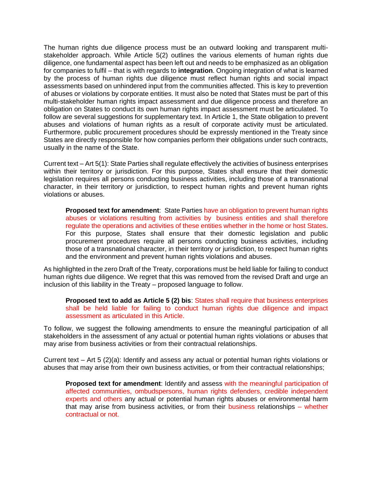The human rights due diligence process must be an outward looking and transparent multistakeholder approach. While Article 5(2) outlines the various elements of human rights due diligence, one fundamental aspect has been left out and needs to be emphasized as an obligation for companies to fulfil – that is with regards to **integration**. Ongoing integration of what is learned by the process of human rights due diligence must reflect human rights and social impact assessments based on unhindered input from the communities affected. This is key to prevention of abuses or violations by corporate entities. It must also be noted that States must be part of this multi-stakeholder human rights impact assessment and due diligence process and therefore an obligation on States to conduct its own human rights impact assessment must be articulated. To follow are several suggestions for supplementary text. In Article 1, the State obligation to prevent abuses and violations of human rights as a result of corporate activity must be articulated. Furthermore, public procurement procedures should be expressly mentioned in the Treaty since States are directly responsible for how companies perform their obligations under such contracts, usually in the name of the State.

Current text – Art 5(1): State Parties shall regulate effectively the activities of business enterprises within their territory or jurisdiction. For this purpose, States shall ensure that their domestic legislation requires all persons conducting business activities, including those of a transnational character, in their territory or jurisdiction, to respect human rights and prevent human rights violations or abuses.

**Proposed text for amendment**: State Parties have an obligation to prevent human rights abuses or violations resulting from activities by business entities and shall therefore regulate the operations and activities of these entities whether in the home or host States. For this purpose, States shall ensure that their domestic legislation and public procurement procedures require all persons conducting business activities, including those of a transnational character, in their territory or jurisdiction, to respect human rights and the environment and prevent human rights violations and abuses.

As highlighted in the zero Draft of the Treaty, corporations must be held liable for failing to conduct human rights due diligence. We regret that this was removed from the revised Draft and urge an inclusion of this liability in the Treaty – proposed language to follow.

**Proposed text to add as Article 5 (2) bis**: States shall require that business enterprises shall be held liable for failing to conduct human rights due diligence and impact assessment as articulated in this Article.

To follow, we suggest the following amendments to ensure the meaningful participation of all stakeholders in the assessment of any actual or potential human rights violations or abuses that may arise from business activities or from their contractual relationships.

Current text – Art 5 (2)(a): Identify and assess any actual or potential human rights violations or abuses that may arise from their own business activities, or from their contractual relationships;

**Proposed text for amendment**: Identify and assess with the meaningful participation of affected communities, ombudspersons, human rights defenders, credible independent experts and others any actual or potential human rights abuses or environmental harm that may arise from business activities, or from their business relationships – whether contractual or not.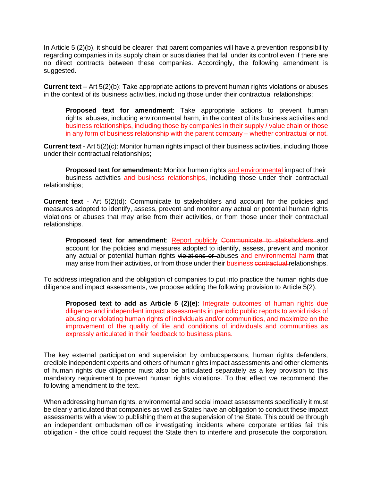In Article 5 (2)(b), it should be clearer that parent companies will have a prevention responsibility regarding companies in its supply chain or subsidiaries that fall under its control even if there are no direct contracts between these companies. Accordingly, the following amendment is suggested.

**Current text** – Art 5(2)(b): Take appropriate actions to prevent human rights violations or abuses in the context of its business activities, including those under their contractual relationships;

**Proposed text for amendment**: Take appropriate actions to prevent human rights abuses, including environmental harm, in the context of its business activities and business relationships, including those by companies in their supply / value chain or those in any form of business relationship with the parent company – whether contractual or not.

**Current text** - Art 5(2)(c): Monitor human rights impact of their business activities, including those under their contractual relationships;

**Proposed text for amendment:** Monitor human rights and environmental impact of their business activities and business relationships, including those under their contractual relationships;

**Current text** - Art 5(2)(d): Communicate to stakeholders and account for the policies and measures adopted to identify, assess, prevent and monitor any actual or potential human rights violations or abuses that may arise from their activities, or from those under their contractual relationships.

Proposed text for amendment: Report publicly Communicate to stakeholders and account for the policies and measures adopted to identify, assess, prevent and monitor any actual or potential human rights violations or abuses and environmental harm that may arise from their activities, or from those under their business contractual relationships.

To address integration and the obligation of companies to put into practice the human rights due diligence and impact assessments, we propose adding the following provision to Article 5(2).

**Proposed text to add as Article 5 (2)(e)**: Integrate outcomes of human rights due diligence and independent impact assessments in periodic public reports to avoid risks of abusing or violating human rights of individuals and/or communities, and maximize on the improvement of the quality of life and conditions of individuals and communities as expressly articulated in their feedback to business plans.

The key external participation and supervision by ombudspersons, human rights defenders, credible independent experts and others of human rights impact assessments and other elements of human rights due diligence must also be articulated separately as a key provision to this mandatory requirement to prevent human rights violations. To that effect we recommend the following amendment to the text.

When addressing human rights, environmental and social impact assessments specifically it must be clearly articulated that companies as well as States have an obligation to conduct these impact assessments with a view to publishing them at the supervision of the State. This could be through an independent ombudsman office investigating incidents where corporate entities fail this obligation - the office could request the State then to interfere and prosecute the corporation.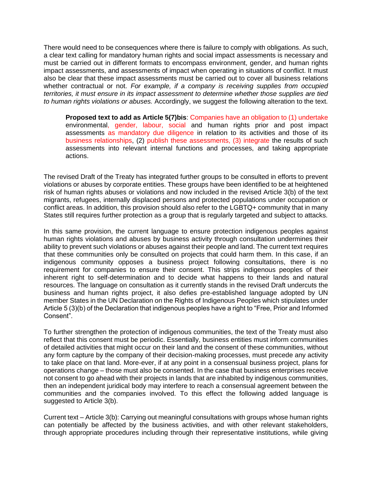There would need to be consequences where there is failure to comply with obligations. As such, a clear text calling for mandatory human rights and social impact assessments is necessary and must be carried out in different formats to encompass environment, gender, and human rights impact assessments, and assessments of impact when operating in situations of conflict. It must also be clear that these impact assessments must be carried out to cover all business relations whether contractual or not. *For example, if a company is receiving supplies from occupied territories, it must ensure in its impact assessment to determine whether those supplies are tied to human rights violations or abuses.* Accordingly, we suggest the following alteration to the text.

**Proposed text to add as Article 5(7)bis**: Companies have an obligation to (1) undertake environmental, gender, labour, social and human rights prior and post impact assessments as mandatory due diligence in relation to its activities and those of its business relationships, (2) publish these assessments, (3) integrate the results of such assessments into relevant internal functions and processes, and taking appropriate actions.

The revised Draft of the Treaty has integrated further groups to be consulted in efforts to prevent violations or abuses by corporate entities. These groups have been identified to be at heightened risk of human rights abuses or violations and now included in the revised Article 3(b) of the text migrants, refugees, internally displaced persons and protected populations under occupation or conflict areas. In addition, this provision should also refer to the LGBTQ+ community that in many States still requires further protection as a group that is regularly targeted and subject to attacks.

In this same provision, the current language to ensure protection indigenous peoples against human rights violations and abuses by business activity through consultation undermines their ability to prevent such violations or abuses against their people and land. The current text requires that these communities only be consulted on projects that could harm them. In this case, if an indigenous community opposes a business project following consultations, there is no requirement for companies to ensure their consent. This strips indigenous peoples of their inherent right to self-determination and to decide what happens to their lands and natural resources. The language on consultation as it currently stands in the revised Draft undercuts the business and human rights project, it also defies pre-established language adopted by UN member States in the UN Declaration on the Rights of Indigenous Peoples which stipulates under Article 5 (3)(b) of the Declaration that indigenous peoples have a right to "Free, Prior and Informed Consent".

To further strengthen the protection of indigenous communities, the text of the Treaty must also reflect that this consent must be periodic. Essentially, business entities must inform communities of detailed activities that might occur on their land and the consent of these communities, without any form capture by the company of their decision-making processes, must precede any activity to take place on that land. More-ever, if at any point in a consensual business project, plans for operations change – those must also be consented. In the case that business enterprises receive not consent to go ahead with their projects in lands that are inhabited by indigenous communities, then an independent juridical body may interfere to reach a consensual agreement between the communities and the companies involved. To this effect the following added language is suggested to Article 3(b).

Current text – Article 3(b): Carrying out meaningful consultations with groups whose human rights can potentially be affected by the business activities, and with other relevant stakeholders, through appropriate procedures including through their representative institutions, while giving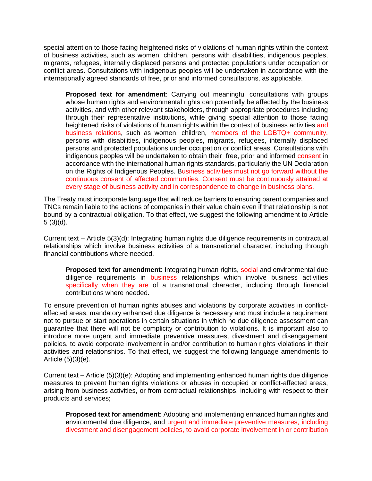special attention to those facing heightened risks of violations of human rights within the context of business activities, such as women, children, persons with disabilities, indigenous peoples, migrants, refugees, internally displaced persons and protected populations under occupation or conflict areas. Consultations with indigenous peoples will be undertaken in accordance with the internationally agreed standards of free, prior and informed consultations, as applicable.

**Proposed text for amendment**: Carrying out meaningful consultations with groups whose human rights and environmental rights can potentially be affected by the business activities, and with other relevant stakeholders, through appropriate procedures including through their representative institutions, while giving special attention to those facing heightened risks of violations of human rights within the context of business activities and business relations, such as women, children, members of the LGBTQ+ community, persons with disabilities, indigenous peoples, migrants, refugees, internally displaced persons and protected populations under occupation or conflict areas. Consultations with indigenous peoples will be undertaken to obtain their free, prior and informed consent in accordance with the international human rights standards, particularly the UN Declaration on the Rights of Indigenous Peoples. Business activities must not go forward without the continuous consent of affected communities. Consent must be continuously attained at every stage of business activity and in correspondence to change in business plans.

The Treaty must incorporate language that will reduce barriers to ensuring parent companies and TNCs remain liable to the actions of companies in their value chain even if that relationship is not bound by a contractual obligation. To that effect, we suggest the following amendment to Article  $5(3)(d)$ .

Current text – Article 5(3)(d): Integrating human rights due diligence requirements in contractual relationships which involve business activities of a transnational character, including through financial contributions where needed.

**Proposed text for amendment**: Integrating human rights, social and environmental due diligence requirements in business relationships which involve business activities specifically when they are of a transnational character, including through financial contributions where needed.

To ensure prevention of human rights abuses and violations by corporate activities in conflictaffected areas, mandatory enhanced due diligence is necessary and must include a requirement not to pursue or start operations in certain situations in which no due diligence assessment can guarantee that there will not be complicity or contribution to violations. It is important also to introduce more urgent and immediate preventive measures, divestment and disengagement policies, to avoid corporate involvement in and/or contribution to human rights violations in their activities and relationships. To that effect, we suggest the following language amendments to Article (5)(3)(e).

Current text – Article (5)(3)(e): Adopting and implementing enhanced human rights due diligence measures to prevent human rights violations or abuses in occupied or conflict-affected areas, arising from business activities, or from contractual relationships, including with respect to their products and services;

**Proposed text for amendment**: Adopting and implementing enhanced human rights and environmental due diligence, and urgent and immediate preventive measures, including divestment and disengagement policies, to avoid corporate involvement in or contribution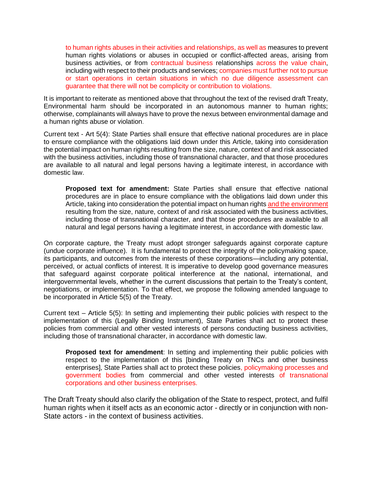to human rights abuses in their activities and relationships, as well as measures to prevent human rights violations or abuses in occupied or conflict-affected areas, arising from business activities, or from contractual business relationships across the value chain, including with respect to their products and services; companies must further not to pursue or start operations in certain situations in which no due diligence assessment can guarantee that there will not be complicity or contribution to violations.

It is important to reiterate as mentioned above that throughout the text of the revised draft Treaty, Environmental harm should be incorporated in an autonomous manner to human rights; otherwise, complainants will always have to prove the nexus between environmental damage and a human rights abuse or violation.

Current text - Art 5(4): State Parties shall ensure that effective national procedures are in place to ensure compliance with the obligations laid down under this Article, taking into consideration the potential impact on human rights resulting from the size, nature, context of and risk associated with the business activities, including those of transnational character, and that those procedures are available to all natural and legal persons having a legitimate interest, in accordance with domestic law.

**Proposed text for amendment:** State Parties shall ensure that effective national procedures are in place to ensure compliance with the obligations laid down under this Article, taking into consideration the potential impact on human rights and the environment resulting from the size, nature, context of and risk associated with the business activities, including those of transnational character, and that those procedures are available to all natural and legal persons having a legitimate interest, in accordance with domestic law.

On corporate capture, the Treaty must adopt stronger safeguards against corporate capture (undue corporate influence). It is fundamental to protect the integrity of the policymaking space, its participants, and outcomes from the interests of these corporations—including any potential, perceived, or actual conflicts of interest. It is imperative to develop good governance measures that safeguard against corporate political interference at the national, international, and intergovernmental levels, whether in the current discussions that pertain to the Treaty's content, negotiations, or implementation. To that effect, we propose the following amended language to be incorporated in Article 5(5) of the Treaty.

Current text – Article 5(5): In setting and implementing their public policies with respect to the implementation of this (Legally Binding Instrument), State Parties shall act to protect these policies from commercial and other vested interests of persons conducting business activities, including those of transnational character, in accordance with domestic law.

**Proposed text for amendment**: In setting and implementing their public policies with respect to the implementation of this [binding Treaty on TNCs and other business enterprises], State Parties shall act to protect these policies, policymaking processes and government bodies from commercial and other vested interests of transnational corporations and other business enterprises.

The Draft Treaty should also clarify the obligation of the State to respect, protect, and fulfil human rights when it itself acts as an economic actor - directly or in conjunction with non-State actors - in the context of business activities.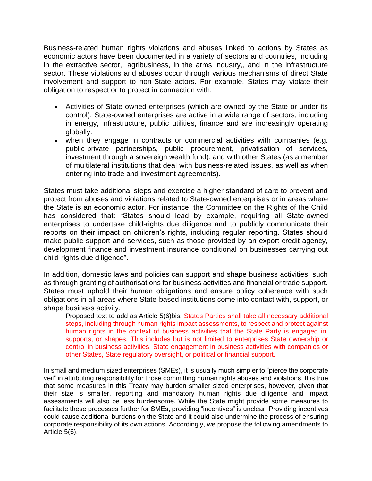Business-related human rights violations and abuses linked to actions by States as economic actors have been documented in a variety of sectors and countries, including in the extractive sector,, agribusiness, in the arms industry,, and in the infrastructure sector. These violations and abuses occur through various mechanisms of direct State involvement and support to non-State actors. For example, States may violate their obligation to respect or to protect in connection with:

- Activities of State-owned enterprises (which are owned by the State or under its control). State-owned enterprises are active in a wide range of sectors, including in energy, infrastructure, public utilities, finance and are increasingly operating globally.
- when they engage in contracts or commercial activities with companies (e.g. public-private partnerships, public procurement, privatisation of services, investment through a sovereign wealth fund), and with other States (as a member of multilateral institutions that deal with business-related issues, as well as when entering into trade and investment agreements).

States must take additional steps and exercise a higher standard of care to prevent and protect from abuses and violations related to State-owned enterprises or in areas where the State is an economic actor. For instance, the Committee on the Rights of the Child has considered that: "States should lead by example, requiring all State-owned enterprises to undertake child-rights due diligence and to publicly communicate their reports on their impact on children's rights, including regular reporting. States should make public support and services, such as those provided by an export credit agency, development finance and investment insurance conditional on businesses carrying out child-rights due diligence".

In addition, domestic laws and policies can support and shape business activities, such as through granting of authorisations for business activities and financial or trade support. States must uphold their human obligations and ensure policy coherence with such obligations in all areas where State-based institutions come into contact with, support, or shape business activity.

Proposed text to add as Article 5(6)bis: States Parties shall take all necessary additional steps, including through human rights impact assessments, to respect and protect against human rights in the context of business activities that the State Party is engaged in, supports, or shapes. This includes but is not limited to enterprises State ownership or control in business activities, State engagement in business activities with companies or other States, State regulatory oversight, or political or financial support.

In small and medium sized enterprises (SMEs), it is usually much simpler to "pierce the corporate veil" in attributing responsibility for those committing human rights abuses and violations. It is true that some measures in this Treaty may burden smaller sized enterprises, however, given that their size is smaller, reporting and mandatory human rights due diligence and impact assessments will also be less burdensome. While the State might provide some measures to facilitate these processes further for SMEs, providing "incentives" is unclear. Providing incentives could cause additional burdens on the State and it could also undermine the process of ensuring corporate responsibility of its own actions. Accordingly, we propose the following amendments to Article 5(6).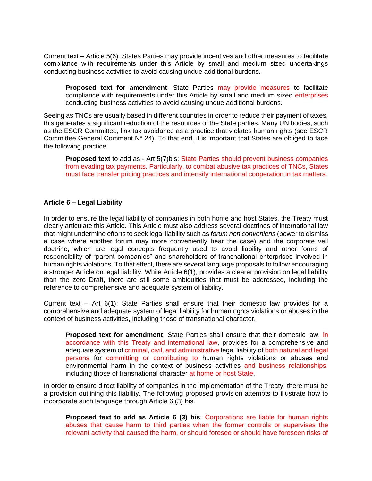Current text – Article 5(6): States Parties may provide incentives and other measures to facilitate compliance with requirements under this Article by small and medium sized undertakings conducting business activities to avoid causing undue additional burdens.

**Proposed text for amendment**: State Parties may provide measures to facilitate compliance with requirements under this Article by small and medium sized enterprises conducting business activities to avoid causing undue additional burdens.

Seeing as TNCs are usually based in different countries in order to reduce their payment of taxes, this generates a significant reduction of the resources of the State parties. Many UN bodies, such as the ESCR Committee, link tax avoidance as a practice that violates human rights (see ESCR Committee General Comment  $N^{\circ}$  24). To that end, it is important that States are obliged to face the following practice.

**Proposed text** to add as - Art 5(7)bis: State Parties should prevent business companies from evading tax payments. Particularly, to combat abusive tax practices of TNCs, States must face transfer pricing practices and intensify international cooperation in tax matters.

# **Article 6 – Legal Liability**

In order to ensure the legal liability of companies in both home and host States, the Treaty must clearly articulate this Article. This Article must also address several doctrines of international law that might undermine efforts to seek legal liability such as *forum non conveniens* (power to dismiss a case where another forum may more conveniently hear the case) and the corporate veil doctrine, which are legal concepts frequently used to avoid liability and other forms of responsibility of "parent companies" and shareholders of transnational enterprises involved in human rights violations. To that effect, there are several language proposals to follow encouraging a stronger Article on legal liability. While Article 6(1), provides a clearer provision on legal liability than the zero Draft, there are still some ambiguities that must be addressed, including the reference to comprehensive and adequate system of liability.

Current text – Art 6(1): State Parties shall ensure that their domestic law provides for a comprehensive and adequate system of legal liability for human rights violations or abuses in the context of business activities, including those of transnational character.

**Proposed text for amendment**: State Parties shall ensure that their domestic law, in accordance with this Treaty and international law, provides for a comprehensive and adequate system of criminal, civil, and administrative legal liability of both natural and legal persons for committing or contributing to human rights violations or abuses and environmental harm in the context of business activities and business relationships, including those of transnational character at home or host State.

In order to ensure direct liability of companies in the implementation of the Treaty, there must be a provision outlining this liability. The following proposed provision attempts to illustrate how to incorporate such language through Article 6 (3) bis.

**Proposed text to add as Article 6 (3) bis**: Corporations are liable for human rights abuses that cause harm to third parties when the former controls or supervises the relevant activity that caused the harm, or should foresee or should have foreseen risks of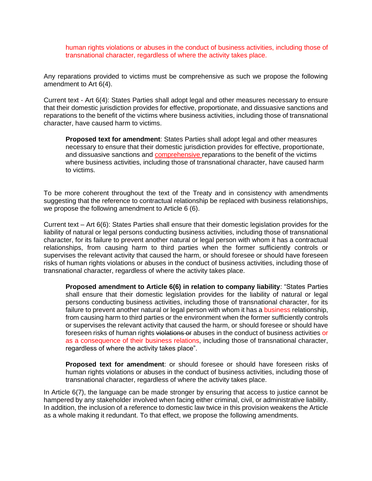human rights violations or abuses in the conduct of business activities, including those of transnational character, regardless of where the activity takes place.

Any reparations provided to victims must be comprehensive as such we propose the following amendment to Art 6(4).

Current text - Art 6(4): States Parties shall adopt legal and other measures necessary to ensure that their domestic jurisdiction provides for effective, proportionate, and dissuasive sanctions and reparations to the benefit of the victims where business activities, including those of transnational character, have caused harm to victims.

**Proposed text for amendment**: States Parties shall adopt legal and other measures necessary to ensure that their domestic jurisdiction provides for effective, proportionate, and dissuasive sanctions and comprehensive reparations to the benefit of the victims where business activities, including those of transnational character, have caused harm to victims.

To be more coherent throughout the text of the Treaty and in consistency with amendments suggesting that the reference to contractual relationship be replaced with business relationships, we propose the following amendment to Article 6 (6).

Current text – Art 6(6): States Parties shall ensure that their domestic legislation provides for the liability of natural or legal persons conducting business activities, including those of transnational character, for its failure to prevent another natural or legal person with whom it has a contractual relationships, from causing harm to third parties when the former sufficiently controls or supervises the relevant activity that caused the harm, or should foresee or should have foreseen risks of human rights violations or abuses in the conduct of business activities, including those of transnational character, regardless of where the activity takes place.

**Proposed amendment to Article 6(6) in relation to company liability**: "States Parties shall ensure that their domestic legislation provides for the liability of natural or legal persons conducting business activities, including those of transnational character, for its failure to prevent another natural or legal person with whom it has a business relationship, from causing harm to third parties or the environment when the former sufficiently controls or supervises the relevant activity that caused the harm, or should foresee or should have foreseen risks of human rights violations or abuses in the conduct of business activities or as a consequence of their business relations, including those of transnational character, regardless of where the activity takes place".

**Proposed text for amendment**: or should foresee or should have foreseen risks of human rights violations or abuses in the conduct of business activities, including those of transnational character, regardless of where the activity takes place.

In Article 6(7), the language can be made stronger by ensuring that access to justice cannot be hampered by any stakeholder involved when facing either criminal, civil, or administrative liability. In addition, the inclusion of a reference to domestic law twice in this provision weakens the Article as a whole making it redundant. To that effect, we propose the following amendments.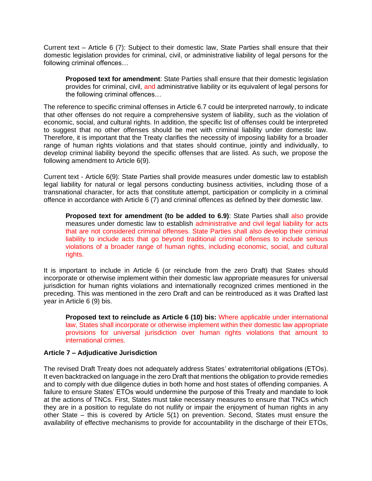Current text – Article 6 (7): Subject to their domestic law, State Parties shall ensure that their domestic legislation provides for criminal, civil, or administrative liability of legal persons for the following criminal offences…

**Proposed text for amendment**: State Parties shall ensure that their domestic legislation provides for criminal, civil, and administrative liability or its equivalent of legal persons for the following criminal offences…

The reference to specific criminal offenses in Article 6.7 could be interpreted narrowly, to indicate that other offenses do not require a comprehensive system of liability, such as the violation of economic, social, and cultural rights. In addition, the specific list of offenses could be interpreted to suggest that no other offenses should be met with criminal liability under domestic law. Therefore, it is important that the Treaty clarifies the necessity of imposing liability for a broader range of human rights violations and that states should continue, jointly and individually, to develop criminal liability beyond the specific offenses that are listed. As such, we propose the following amendment to Article 6(9).

Current text - Article 6(9): State Parties shall provide measures under domestic law to establish legal liability for natural or legal persons conducting business activities, including those of a transnational character, for acts that constitute attempt, participation or complicity in a criminal offence in accordance with Article 6 (7) and criminal offences as defined by their domestic law.

**Proposed text for amendment (to be added to 6.9)**: State Parties shall also provide measures under domestic law to establish administrative and civil legal liability for acts that are not considered criminal offenses. State Parties shall also develop their criminal liability to include acts that go beyond traditional criminal offenses to include serious violations of a broader range of human rights, including economic, social, and cultural rights.

It is important to include in Article 6 (or reinclude from the zero Draft) that States should incorporate or otherwise implement within their domestic law appropriate measures for universal jurisdiction for human rights violations and internationally recognized crimes mentioned in the preceding. This was mentioned in the zero Draft and can be reintroduced as it was Drafted last year in Article 6 (9) bis.

**Proposed text to reinclude as Article 6 (10) bis:** Where applicable under international law, States shall incorporate or otherwise implement within their domestic law appropriate provisions for universal jurisdiction over human rights violations that amount to international crimes.

#### **Article 7 – Adjudicative Jurisdiction**

The revised Draft Treaty does not adequately address States' extraterritorial obligations (ETOs). It even backtracked on language in the zero Draft that mentions the obligation to provide remedies and to comply with due diligence duties in both home and host states of offending companies. A failure to ensure States' ETOs would undermine the purpose of this Treaty and mandate to look at the actions of TNCs. First, States must take necessary measures to ensure that TNCs which they are in a position to regulate do not nullify or impair the enjoyment of human rights in any other State – this is covered by Article 5(1) on prevention. Second, States must ensure the availability of effective mechanisms to provide for accountability in the discharge of their ETOs,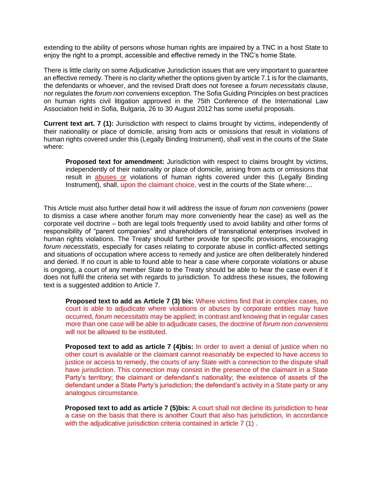extending to the ability of persons whose human rights are impaired by a TNC in a host State to enjoy the right to a prompt, accessible and effective remedy in the TNC's home State.

There is little clarity on some Adjudicative Jurisdiction issues that are very important to guarantee an effective remedy. There is no clarity whether the options given by article 7.1 is for the claimants, the defendants or whoever, and the revised Draft does not foresee a *forum necessitatis* clause, nor regulates the *forum non conveniens* exception. The Sofia Guiding Principles on best practices on human rights civil litigation approved in the 75th Conference of the International Law Association held in Sofia, Bulgaria, 26 to 30 August 2012 has some useful proposals.

**Current text art. 7 (1):** Jurisdiction with respect to claims brought by victims, independently of their nationality or place of domicile, arising from acts or omissions that result in violations of human rights covered under this (Legally Binding Instrument), shall vest in the courts of the State where:

**Proposed text for amendment:** Jurisdiction with respect to claims brought by victims, independently of their nationality or place of domicile, arising from acts or omissions that result in **abuses or** violations of human rights covered under this (Legally Binding Instrument), shall, upon the claimant choice, vest in the courts of the State where:...

This Article must also further detail how it will address the issue of *forum non conveniens* (power to dismiss a case where another forum may more conveniently hear the case) as well as the corporate veil doctrine – both are legal tools frequently used to avoid liability and other forms of responsibility of "parent companies" and shareholders of transnational enterprises involved in human rights violations. The Treaty should further provide for specific provisions, encouraging *forum necessitatis*, especially for cases relating to corporate abuse in conflict-affected settings and situations of occupation where access to remedy and justice are often deliberately hindered and denied. If no court is able to found able to hear a case where corporate violations or abuse is ongoing, a court of any member State to the Treaty should be able to hear the case even if it does not fulfil the criteria set with regards to jurisdiction. To address these issues, the following text is a suggested addition to Article 7.

**Proposed text to add as Article 7 (3) bis:** Where victims find that in complex cases, no court is able to adjudicate where violations or abuses by corporate entities may have occurred, *forum necessitatis* may be applied; in contrast and knowing that in regular cases more than one case will be able to adjudicate cases, the doctrine of *forum non conveniens*  will not be allowed to be instituted.

**Proposed text to add as article 7 (4)bis:** In order to avert a denial of justice when no other court is available or the claimant cannot reasonably be expected to have access to justice or access to remedy, the courts of any State with a connection to the dispute shall have jurisdiction. This connection may consist in the presence of the claimant in a State Party's territory; the claimant or defendant's nationality; the existence of assets of the defendant under a State Party's jurisdiction; the defendant's activity in a State party or any analogous circumstance.

**Proposed text to add as article 7 (5)bis:** A court shall not decline its jurisdiction to hear a case on the basis that there is another Court that also has jurisdiction, in accordance with the adjudicative jurisdiction criteria contained in article 7 (1).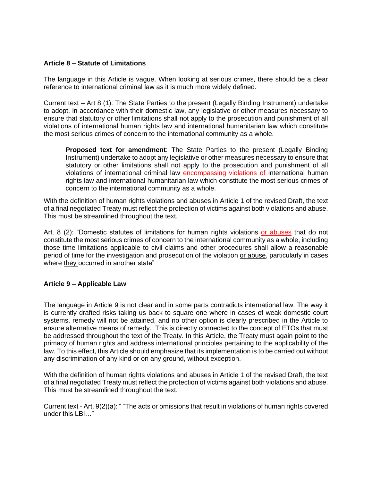#### **Article 8 – Statute of Limitations**

The language in this Article is vague. When looking at serious crimes, there should be a clear reference to international criminal law as it is much more widely defined.

Current text – Art 8 (1): The State Parties to the present (Legally Binding Instrument) undertake to adopt, in accordance with their domestic law, any legislative or other measures necessary to ensure that statutory or other limitations shall not apply to the prosecution and punishment of all violations of international human rights law and international humanitarian law which constitute the most serious crimes of concern to the international community as a whole.

**Proposed text for amendment**: The State Parties to the present (Legally Binding Instrument) undertake to adopt any legislative or other measures necessary to ensure that statutory or other limitations shall not apply to the prosecution and punishment of all violations of international criminal law encompassing violations of international human rights law and international humanitarian law which constitute the most serious crimes of concern to the international community as a whole.

With the definition of human rights violations and abuses in Article 1 of the revised Draft, the text of a final negotiated Treaty must reflect the protection of victims against both violations and abuse. This must be streamlined throughout the text.

Art. 8 (2): "Domestic statutes of limitations for human rights violations or abuses that do not constitute the most serious crimes of concern to the international community as a whole, including those time limitations applicable to civil claims and other procedures shall allow a reasonable period of time for the investigation and prosecution of the violation or abuse, particularly in cases where they occurred in another state"

# **Article 9 – Applicable Law**

The language in Article 9 is not clear and in some parts contradicts international law. The way it is currently drafted risks taking us back to square one where in cases of weak domestic court systems, remedy will not be attained, and no other option is clearly prescribed in the Article to ensure alternative means of remedy. This is directly connected to the concept of ETOs that must be addressed throughout the text of the Treaty. In this Article, the Treaty must again point to the primacy of human rights and address international principles pertaining to the applicability of the law. To this effect, this Article should emphasize that its implementation is to be carried out without any discrimination of any kind or on any ground, without exception.

With the definition of human rights violations and abuses in Article 1 of the revised Draft, the text of a final negotiated Treaty must reflect the protection of victims against both violations and abuse. This must be streamlined throughout the text.

Current text - Art. 9(2)(a): " "The acts or omissions that result in violations of human rights covered under this LBI…"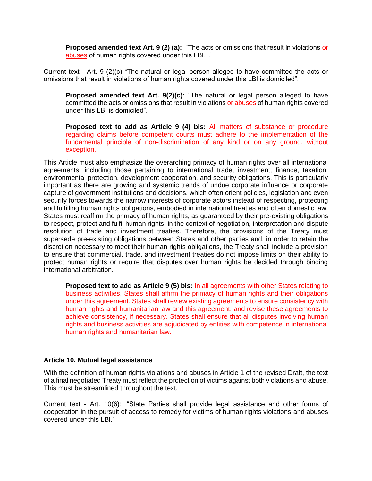**Proposed amended text Art. 9 (2) (a):** "The acts or omissions that result in violations or abuses of human rights covered under this LBI…"

Current text - Art. 9 (2)(c) "The natural or legal person alleged to have committed the acts or omissions that result in violations of human rights covered under this LBI is domiciled".

**Proposed amended text Art. 9(2)(c):** "The natural or legal person alleged to have committed the acts or omissions that result in violations or abuses of human rights covered under this LBI is domiciled".

**Proposed text to add as Article 9 (4) bis:** All matters of substance or procedure regarding claims before competent courts must adhere to the implementation of the fundamental principle of non-discrimination of any kind or on any ground, without exception.

This Article must also emphasize the overarching primacy of human rights over all international agreements, including those pertaining to international trade, investment, finance, taxation, environmental protection, development cooperation, and security obligations. This is particularly important as there are growing and systemic trends of undue corporate influence or corporate capture of government institutions and decisions, which often orient policies, legislation and even security forces towards the narrow interests of corporate actors instead of respecting, protecting and fulfilling human rights obligations, embodied in international treaties and often domestic law. States must reaffirm the primacy of human rights, as guaranteed by their pre-existing obligations to respect, protect and fulfil human rights, in the context of negotiation, interpretation and dispute resolution of trade and investment treaties. Therefore, the provisions of the Treaty must supersede pre-existing obligations between States and other parties and, in order to retain the discretion necessary to meet their human rights obligations, the Treaty shall include a provision to ensure that commercial, trade, and investment treaties do not impose limits on their ability to protect human rights or require that disputes over human rights be decided through binding international arbitration.

**Proposed text to add as Article 9 (5) bis:** In all agreements with other States relating to business activities, States shall affirm the primacy of human rights and their obligations under this agreement. States shall review existing agreements to ensure consistency with human rights and humanitarian law and this agreement, and revise these agreements to achieve consistency, if necessary. States shall ensure that all disputes involving human rights and business activities are adjudicated by entities with competence in international human rights and humanitarian law.

#### **Article 10. Mutual legal assistance**

With the definition of human rights violations and abuses in Article 1 of the revised Draft, the text of a final negotiated Treaty must reflect the protection of victims against both violations and abuse. This must be streamlined throughout the text.

Current text - Art. 10(6): "State Parties shall provide legal assistance and other forms of cooperation in the pursuit of access to remedy for victims of human rights violations and abuses covered under this LBI."